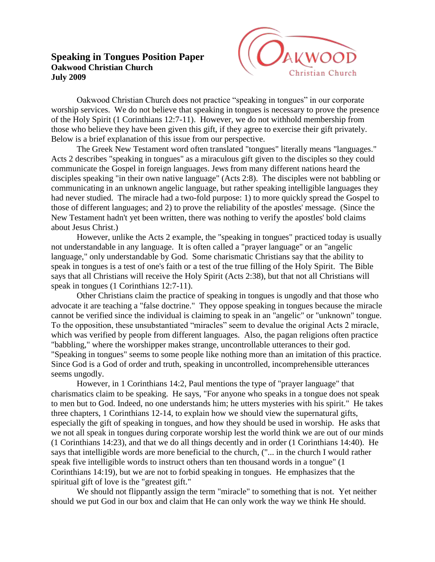## **Speaking in Tongues Position Paper Oakwood Christian Church July 2009**



Oakwood Christian Church does not practice "speaking in tongues" in our corporate worship services. We do not believe that speaking in tongues is necessary to prove the presence of the Holy Spirit (1 Corinthians 12:7-11). However, we do not withhold membership from those who believe they have been given this gift, if they agree to exercise their gift privately. Below is a brief explanation of this issue from our perspective.

The Greek New Testament word often translated "tongues" literally means "languages." Acts 2 describes "speaking in tongues" as a miraculous gift given to the disciples so they could communicate the Gospel in foreign languages. Jews from many different nations heard the disciples speaking "in their own native language" (Acts 2:8). The disciples were not babbling or communicating in an unknown angelic language, but rather speaking intelligible languages they had never studied. The miracle had a two-fold purpose: 1) to more quickly spread the Gospel to those of different languages; and 2) to prove the reliability of the apostles' message. (Since the New Testament hadn't yet been written, there was nothing to verify the apostles' bold claims about Jesus Christ.)

However, unlike the Acts 2 example, the "speaking in tongues" practiced today is usually not understandable in any language. It is often called a "prayer language" or an "angelic language," only understandable by God. Some charismatic Christians say that the ability to speak in tongues is a test of one's faith or a test of the true filling of the Holy Spirit. The Bible says that all Christians will receive the Holy Spirit (Acts 2:38), but that not all Christians will speak in tongues (1 Corinthians 12:7-11).

Other Christians claim the practice of speaking in tongues is ungodly and that those who advocate it are teaching a "false doctrine." They oppose speaking in tongues because the miracle cannot be verified since the individual is claiming to speak in an "angelic" or "unknown" tongue. To the opposition, these unsubstantiated "miracles" seem to devalue the original Acts 2 miracle, which was verified by people from different languages. Also, the pagan religions often practice "babbling," where the worshipper makes strange, uncontrollable utterances to their god. "Speaking in tongues" seems to some people like nothing more than an imitation of this practice. Since God is a God of order and truth, speaking in uncontrolled, incomprehensible utterances seems ungodly.

However, in 1 Corinthians 14:2, Paul mentions the type of "prayer language" that charismatics claim to be speaking. He says, "For anyone who speaks in a tongue does not speak to men but to God. Indeed, no one understands him; he utters mysteries with his spirit." He takes three chapters, 1 Corinthians 12-14, to explain how we should view the supernatural gifts, especially the gift of speaking in tongues, and how they should be used in worship. He asks that we not all speak in tongues during corporate worship lest the world think we are out of our minds (1 Corinthians 14:23), and that we do all things decently and in order (1 Corinthians 14:40). He says that intelligible words are more beneficial to the church, ("... in the church I would rather speak five intelligible words to instruct others than ten thousand words in a tongue" (1 Corinthians 14:19), but we are not to forbid speaking in tongues. He emphasizes that the spiritual gift of love is the "greatest gift."

We should not flippantly assign the term "miracle" to something that is not. Yet neither should we put God in our box and claim that He can only work the way we think He should.